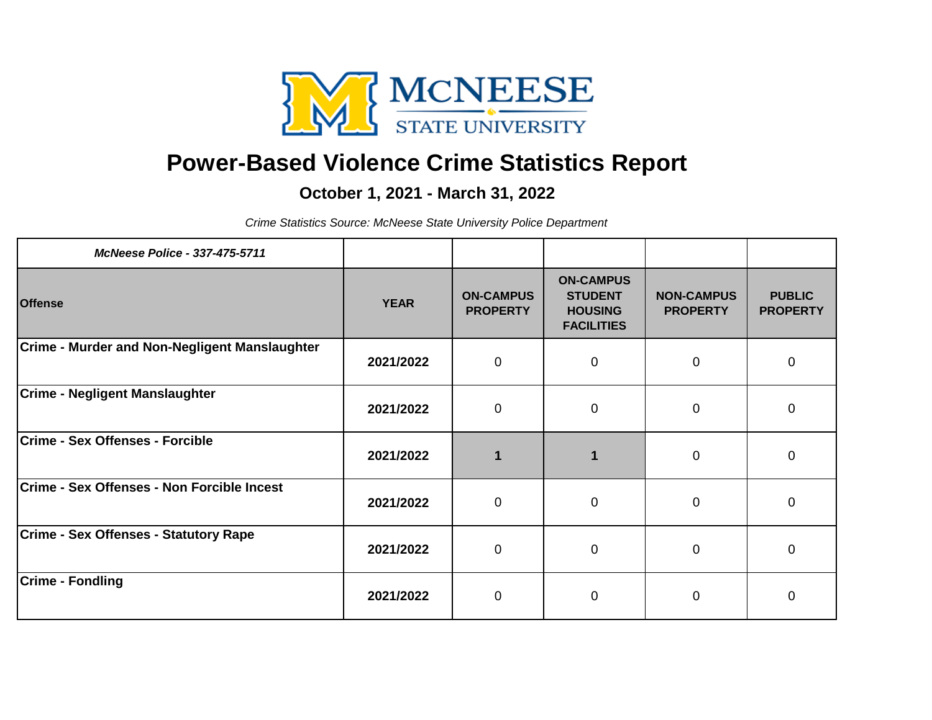

## **Power-Based Violence Crime Statistics Report**

## **October 1, 2021 - March 31, 2022**

*Crime Statistics Source: McNeese State University Police Department*

| <b>McNeese Police - 337-475-5711</b>                 |             |                                     |                                                                           |                                      |                                  |
|------------------------------------------------------|-------------|-------------------------------------|---------------------------------------------------------------------------|--------------------------------------|----------------------------------|
| <b>Offense</b>                                       | <b>YEAR</b> | <b>ON-CAMPUS</b><br><b>PROPERTY</b> | <b>ON-CAMPUS</b><br><b>STUDENT</b><br><b>HOUSING</b><br><b>FACILITIES</b> | <b>NON-CAMPUS</b><br><b>PROPERTY</b> | <b>PUBLIC</b><br><b>PROPERTY</b> |
| <b>Crime - Murder and Non-Negligent Manslaughter</b> | 2021/2022   | $\mathbf 0$                         | $\overline{0}$                                                            | $\mathbf 0$                          | $\mathbf 0$                      |
| <b>Crime - Negligent Manslaughter</b>                | 2021/2022   | $\mathbf 0$                         | 0                                                                         | $\mathbf 0$                          | 0                                |
| <b>Crime - Sex Offenses - Forcible</b>               | 2021/2022   |                                     |                                                                           | $\mathbf 0$                          | $\overline{0}$                   |
| Crime - Sex Offenses - Non Forcible Incest           | 2021/2022   | $\mathbf 0$                         | $\mathbf 0$                                                               | $\mathbf 0$                          | $\mathbf 0$                      |
| <b>Crime - Sex Offenses - Statutory Rape</b>         | 2021/2022   | $\mathbf 0$                         | $\pmb{0}$                                                                 | $\mathbf 0$                          | $\pmb{0}$                        |
| <b>Crime - Fondling</b>                              | 2021/2022   | $\mathbf 0$                         | $\overline{0}$                                                            | $\mathbf 0$                          | $\overline{0}$                   |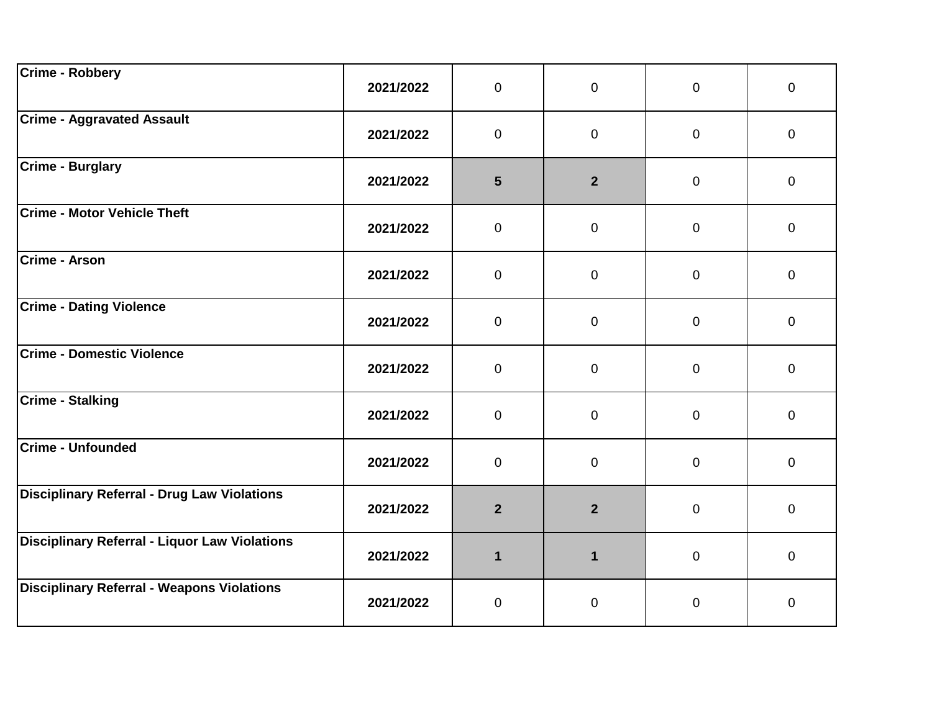| <b>Crime - Robbery</b>                             | 2021/2022 | $\overline{0}$ | $\mathbf{0}$   | $\overline{0}$ | $\mathbf{0}$   |  |
|----------------------------------------------------|-----------|----------------|----------------|----------------|----------------|--|
| <b>Crime - Aggravated Assault</b>                  | 2021/2022 | $\overline{0}$ | $\overline{0}$ | $\mathbf 0$    | $\overline{0}$ |  |
| <b>Crime - Burglary</b>                            | 2021/2022 | 5              | 2 <sup>1</sup> | $\mathbf 0$    | $\overline{0}$ |  |
| <b>Crime - Motor Vehicle Theft</b>                 | 2021/2022 | $\overline{0}$ | $\mathbf 0$    | $\mathbf 0$    | $\mathbf 0$    |  |
| <b>Crime - Arson</b>                               | 2021/2022 | $\overline{0}$ | $\mathbf 0$    | $\mathbf 0$    | $\overline{0}$ |  |
| <b>Crime - Dating Violence</b>                     | 2021/2022 | $\overline{0}$ | $\mathbf 0$    | $\mathbf 0$    | $\overline{0}$ |  |
| <b>Crime - Domestic Violence</b>                   | 2021/2022 | $\overline{0}$ | $\mathbf 0$    | $\mathbf 0$    | $\mathbf 0$    |  |
| <b>Crime - Stalking</b>                            | 2021/2022 | $\overline{0}$ | $\mathbf 0$    | $\mathbf 0$    | $\overline{0}$ |  |
| <b>Crime - Unfounded</b>                           | 2021/2022 | $\overline{0}$ | $\overline{0}$ | $\mathbf 0$    | $\overline{0}$ |  |
| <b>Disciplinary Referral - Drug Law Violations</b> | 2021/2022 | $\overline{2}$ | 2 <sup>1</sup> | $\mathbf 0$    | $\overline{0}$ |  |
| Disciplinary Referral - Liquor Law Violations      | 2021/2022 | $\mathbf{1}$   | $\mathbf{1}$   | $\mathbf 0$    | $\mathbf 0$    |  |
| <b>Disciplinary Referral - Weapons Violations</b>  | 2021/2022 | $\mathbf 0$    | $\pmb{0}$      | $\mathbf 0$    | $\mathbf 0$    |  |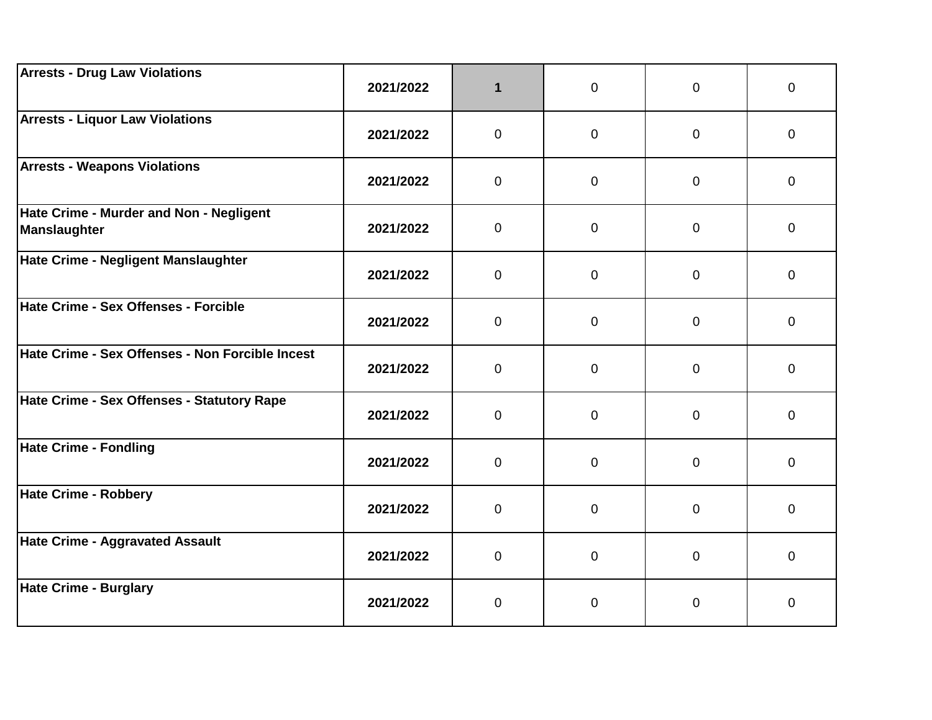| <b>Arrests - Drug Law Violations</b>                    | 2021/2022 | 1              | $\overline{0}$ | 0            | 0           |
|---------------------------------------------------------|-----------|----------------|----------------|--------------|-------------|
| <b>Arrests - Liquor Law Violations</b>                  | 2021/2022 | 0              | $\mathbf{0}$   | 0            | 0           |
| <b>Arrests - Weapons Violations</b>                     | 2021/2022 | $\overline{0}$ | $\mathbf 0$    | 0            | $\mathbf 0$ |
| Hate Crime - Murder and Non - Negligent<br>Manslaughter | 2021/2022 | $\overline{0}$ | $\mathbf 0$    | 0            | 0           |
| Hate Crime - Negligent Manslaughter                     | 2021/2022 | $\overline{0}$ | $\mathbf{0}$   | 0            | $\mathbf 0$ |
| Hate Crime - Sex Offenses - Forcible                    | 2021/2022 | $\mathbf 0$    | $\mathbf{0}$   | $\mathbf{0}$ | $\mathbf 0$ |
| Hate Crime - Sex Offenses - Non Forcible Incest         | 2021/2022 | $\overline{0}$ | $\mathbf 0$    | 0            | $\mathbf 0$ |
| Hate Crime - Sex Offenses - Statutory Rape              | 2021/2022 | $\overline{0}$ | $\mathbf 0$    | $\mathbf 0$  | $\mathbf 0$ |
| Hate Crime - Fondling                                   | 2021/2022 | $\Omega$       | $\mathbf{0}$   | $\Omega$     | 0           |
| Hate Crime - Robbery                                    | 2021/2022 | $\overline{0}$ | $\mathbf 0$    | 0            | 0           |
| Hate Crime - Aggravated Assault                         | 2021/2022 | $\overline{0}$ | $\overline{0}$ | 0            | $\pmb{0}$   |
| Hate Crime - Burglary                                   | 2021/2022 | 0              | $\mathbf 0$    | 0            | $\pmb{0}$   |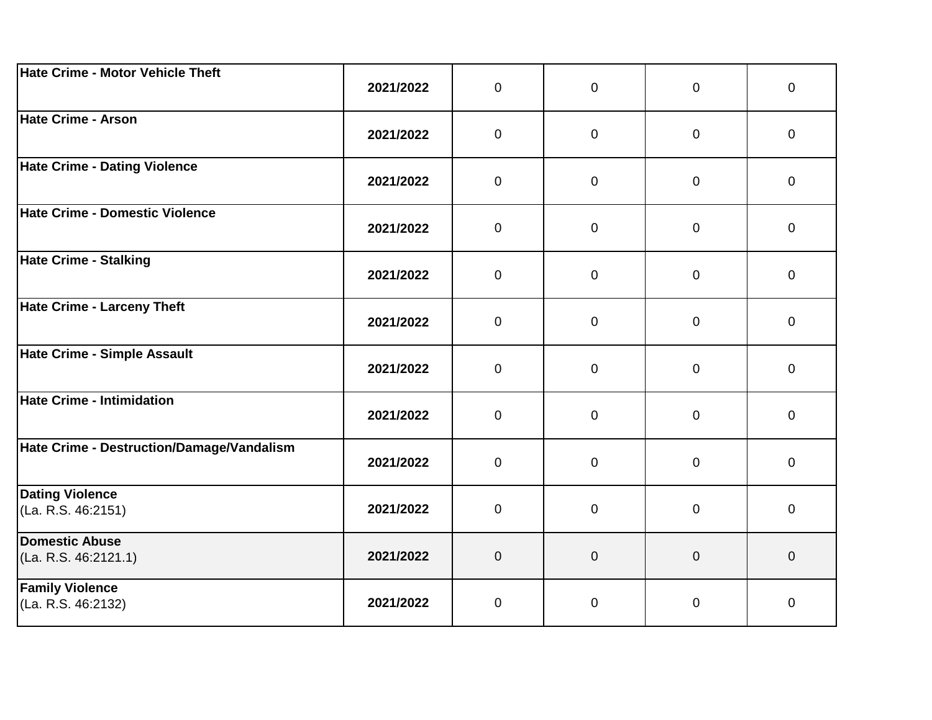| Hate Crime - Motor Vehicle Theft              | 2021/2022 | $\mathbf 0$    | $\mathbf 0$      | 0              | 0           |
|-----------------------------------------------|-----------|----------------|------------------|----------------|-------------|
| Hate Crime - Arson                            | 2021/2022 | $\mathbf 0$    | $\mathbf 0$      | 0              | $\mathbf 0$ |
| Hate Crime - Dating Violence                  | 2021/2022 | $\mathbf 0$    | $\overline{0}$   | 0              | $\mathbf 0$ |
| Hate Crime - Domestic Violence                | 2021/2022 | $\mathbf 0$    | $\mathbf 0$      | $\mathbf 0$    | 0           |
| Hate Crime - Stalking                         | 2021/2022 | $\mathbf 0$    | $\overline{0}$   | $\mathbf 0$    | $\mathbf 0$ |
| Hate Crime - Larceny Theft                    | 2021/2022 | $\mathbf 0$    | $\overline{0}$   | $\mathbf 0$    | $\mathbf 0$ |
| Hate Crime - Simple Assault                   | 2021/2022 | $\mathbf 0$    | $\overline{0}$   | $\mathbf 0$    | $\mathbf 0$ |
| Hate Crime - Intimidation                     | 2021/2022 | $\mathbf 0$    | $\mathbf 0$      | $\mathbf 0$    | $\mathbf 0$ |
| Hate Crime - Destruction/Damage/Vandalism     | 2021/2022 | $\mathbf 0$    | $\overline{0}$   | $\mathbf 0$    | $\mathbf 0$ |
| <b>Dating Violence</b><br>(La. R.S. 46:2151)  | 2021/2022 | $\mathbf 0$    | $\mathbf 0$      | 0              | $\mathbf 0$ |
| <b>Domestic Abuse</b><br>(La. R.S. 46:2121.1) | 2021/2022 | $\overline{0}$ | $\boldsymbol{0}$ | $\overline{0}$ | $\pmb{0}$   |
| <b>Family Violence</b><br>(La. R.S. 46:2132)  | 2021/2022 | $\mathbf 0$    | $\pmb{0}$        | 0              | $\pmb{0}$   |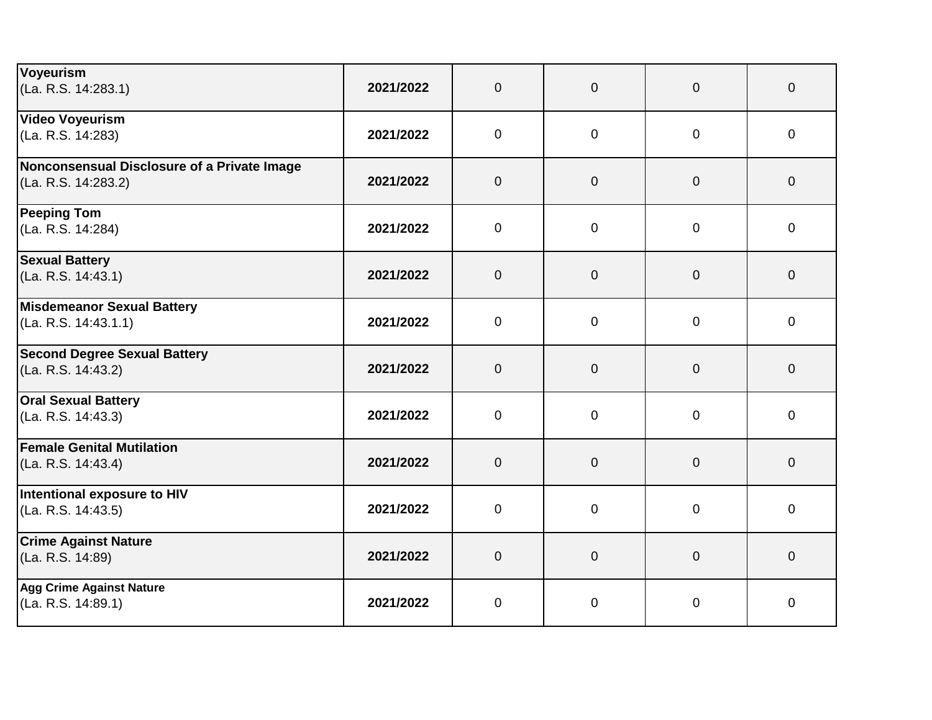| Voyeurism                                   |           |                |                |                |                |
|---------------------------------------------|-----------|----------------|----------------|----------------|----------------|
| (La. R.S. 14:283.1)                         | 2021/2022 | $\overline{0}$ | $\overline{0}$ | $\overline{0}$ | $\mathbf{0}$   |
| <b>Video Voyeurism</b>                      |           |                |                |                |                |
| (La. R.S. 14:283)                           | 2021/2022 | $\mathbf 0$    | $\mathbf 0$    | 0              | $\mathbf 0$    |
| Nonconsensual Disclosure of a Private Image |           |                |                |                |                |
| (La. R.S. 14:283.2)                         | 2021/2022 | $\overline{0}$ | $\overline{0}$ | $\overline{0}$ | $\mathbf 0$    |
| <b>Peeping Tom</b>                          |           |                |                |                |                |
| (La. R.S. 14:284)                           | 2021/2022 | $\mathbf 0$    | $\mathbf 0$    | $\overline{0}$ | 0              |
| <b>Sexual Battery</b>                       |           |                |                |                |                |
| (La. R.S. 14:43.1)                          | 2021/2022 | $\overline{0}$ | $\overline{0}$ | $\Omega$       | $\overline{0}$ |
| <b>Misdemeanor Sexual Battery</b>           |           |                |                |                |                |
| (La. R.S. 14:43.1.1)                        | 2021/2022 | $\overline{0}$ | $\overline{0}$ | $\mathbf 0$    | $\overline{0}$ |
| <b>Second Degree Sexual Battery</b>         |           |                |                |                |                |
| (La. R.S. 14:43.2)                          | 2021/2022 | $\overline{0}$ | $\overline{0}$ | $\mathbf{0}$   | $\mathbf 0$    |
| <b>Oral Sexual Battery</b>                  |           |                |                |                |                |
| (La. R.S. 14:43.3)                          | 2021/2022 | $\overline{0}$ | $\mathbf 0$    | $\overline{0}$ | $\overline{0}$ |
| <b>Female Genital Mutilation</b>            |           |                |                |                |                |
| (La. R.S. 14:43.4)                          | 2021/2022 | $\overline{0}$ | $\overline{0}$ | $\overline{0}$ | $\overline{0}$ |
| Intentional exposure to HIV                 |           |                |                |                |                |
| (La. R.S. 14:43.5)                          | 2021/2022 | $\mathbf 0$    | $\mathbf 0$    | $\overline{0}$ | $\mathbf 0$    |
| <b>Crime Against Nature</b>                 |           |                |                |                |                |
| (La. R.S. 14:89)                            | 2021/2022 | $\overline{0}$ | $\overline{0}$ | $\mathbf{0}$   | $\mathbf 0$    |
| <b>Agg Crime Against Nature</b>             |           |                |                |                |                |
| (La. R.S. 14:89.1)                          | 2021/2022 | $\mathbf 0$    | $\pmb{0}$      | 0              | 0              |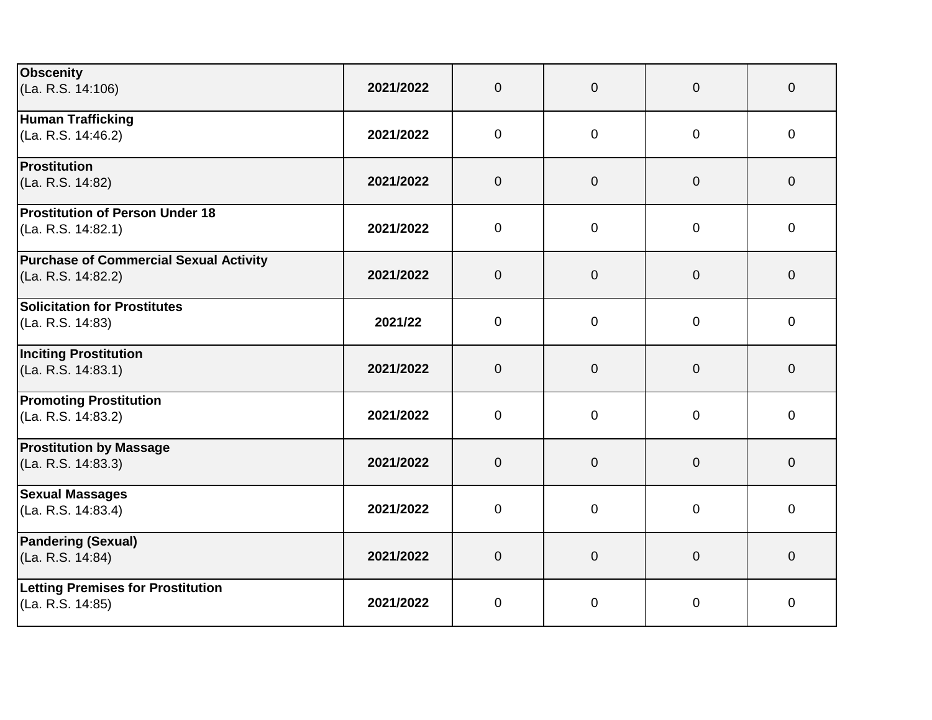| <b>Obscenity</b>                              |           |                |                |                |                     |
|-----------------------------------------------|-----------|----------------|----------------|----------------|---------------------|
| (La. R.S. 14:106)                             | 2021/2022 | $\overline{0}$ | $\mathbf 0$    | $\overline{0}$ | $\mathbf 0$         |
| <b>Human Trafficking</b>                      |           |                |                |                |                     |
| (La. R.S. 14:46.2)                            | 2021/2022 | $\overline{0}$ | $\overline{0}$ | $\mathbf 0$    | $\mathbf 0$         |
| Prostitution                                  |           |                |                |                |                     |
| (La. R.S. 14:82)                              | 2021/2022 | $\overline{0}$ | $\mathbf 0$    | $\overline{0}$ | $\mathbf 0$         |
| Prostitution of Person Under 18               |           |                |                |                |                     |
| (La. R.S. 14:82.1)                            | 2021/2022 | $\mathbf 0$    | $\mathbf 0$    | $\overline{0}$ | $\mathbf 0$         |
| <b>Purchase of Commercial Sexual Activity</b> |           |                |                |                |                     |
| (La. R.S. 14:82.2)                            | 2021/2022 | $\overline{0}$ | $\mathbf 0$    | $\overline{0}$ | $\mathbf 0$         |
| Solicitation for Prostitutes                  |           |                |                |                |                     |
| (La. R.S. 14:83)                              | 2021/22   | $\overline{0}$ | $\overline{0}$ | $\mathbf 0$    | $\mathbf 0$         |
| <b>Inciting Prostitution</b>                  |           |                |                |                |                     |
| (La. R.S. 14:83.1)                            | 2021/2022 | $\mathbf 0$    | $\overline{0}$ | $\overline{0}$ | $\mathbf 0$         |
| <b>Promoting Prostitution</b>                 |           |                |                |                |                     |
| (La. R.S. 14:83.2)                            | 2021/2022 | $\mathbf 0$    | $\mathbf 0$    | $\overline{0}$ | $\mathbf 0$         |
| <b>Prostitution by Massage</b>                |           |                |                |                |                     |
| (La. R.S. 14:83.3)                            | 2021/2022 | $\overline{0}$ | $\mathbf 0$    | $\overline{0}$ | $\mathbf 0$         |
| <b>Sexual Massages</b>                        |           |                |                |                |                     |
| (La. R.S. 14:83.4)                            | 2021/2022 | $\overline{0}$ | $\mathbf 0$    | $\mathbf 0$    | $\mathbf 0$         |
| <b>Pandering (Sexual)</b>                     |           |                |                |                |                     |
| (La. R.S. 14:84)                              | 2021/2022 | $\overline{0}$ | $\mathbf 0$    | $\overline{0}$ | $\mathsf{O}\xspace$ |
| <b>Letting Premises for Prostitution</b>      |           |                |                |                |                     |
| (La. R.S. 14:85)                              | 2021/2022 | $\overline{0}$ | $\mathbf 0$    | $\mathbf 0$    | 0                   |